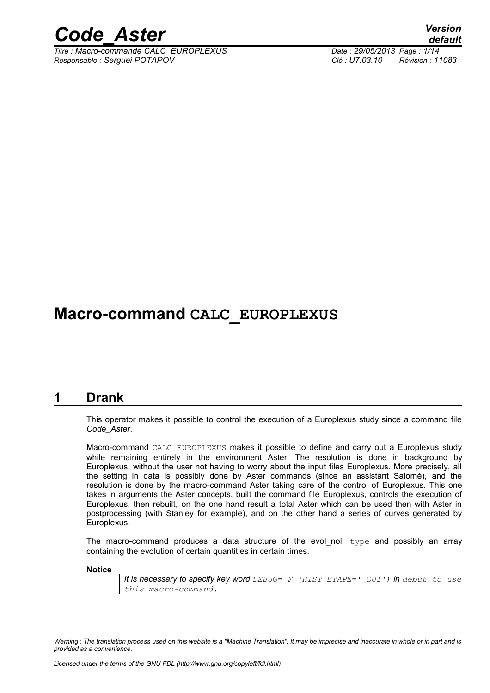

*Titre : Macro-commande CALC\_EUROPLEXUS Date : 29/05/2013 Page : 1/14 Responsable : Serguei POTAPOV Clé : U7.03.10 Révision : 11083*

*default*

## **Macro-command CALC\_EUROPLEXUS**

#### **1 Drank**

This operator makes it possible to control the execution of a Europlexus study since a command file *Code\_Aster*.

Macro-command CALC EUROPLEXUS makes it possible to define and carry out a Europlexus study while remaining entirely in the environment Aster. The resolution is done in background by Europlexus, without the user not having to worry about the input files Europlexus. More precisely, all the setting in data is possibly done by Aster commands (since an assistant Salomé), and the resolution is done by the macro-command Aster taking care of the control of Europlexus. This one takes in arguments the Aster concepts, built the command file Europlexus, controls the execution of Europlexus, then rebuilt, on the one hand result a total Aster which can be used then with Aster in postprocessing (with Stanley for example), and on the other hand a series of curves generated by Europlexus.

The macro-command produces a data structure of the evol\_noli  $type$  and possibly an array containing the evolution of certain quantities in certain times.

**Notice**

*It is necessary to specify key word DEBUG=\_F (HIST\_ETAPE=' OUI') in debut to use this macro-command.*

*Warning : The translation process used on this website is a "Machine Translation". It may be imprecise and inaccurate in whole or in part and is provided as a convenience.*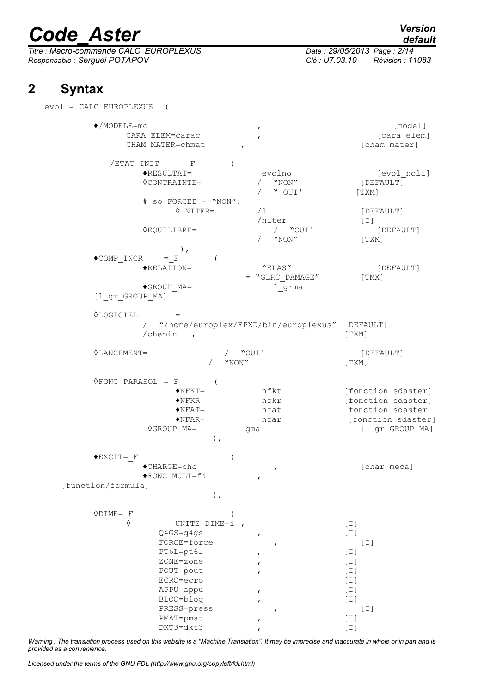*Titre : Macro-commande CALC\_EUROPLEXUS Date : 29/05/2013 Page : 2/14 Responsable : Serguei POTAPOV Clé : U7.03.10 Révision : 11083*

## *default*

### **2 Syntax**

evol = CALC\_EUROPLEXUS ( ♦/MODELE=mo , [model] CARA ELEM=carac , the contract of the caracteristic set of  $\sim$  [cara elem] CHAM\_MATER=chmat , the set of  $\sim$  , and  $\sim$  [cham\_mater]  $/ETAT$  INIT = F (  $\bigstar$ RESULTAT= evolno [evol noli] ◊CONTRAINTE= / "NON" [DEFAULT] " OUI' [TXM]  $#$  so FORCED = "NON":<br>  $\Diamond$  NITER=  $/1$  [DEFAULT]  $\begin{array}{cc} \sqrt{n} \text{iter} \\ \sqrt{2} \text{OUT} \end{array}$  [I] ◊EQUILIBRE= / "OUI' [DEFAULT] " NON" [TXM] ),  $\triangle$ COMP INCR = F ( ♦RELATION= "ELAS" [DEFAULT]  $=$  "GLRC DAMAGE" [TMX]  $\bullet$ GROUP MA=  $\qquad \qquad$  1 grma [l\_gr\_GROUP\_MA] ◊LOGICIEL = / "/home/europlex/EPXD/bin/europlexus" [DEFAULT] /chemin , [TXM] ◊LANCEMENT= / "OUI' [DEFAULT] " NON" [TXM]  $\Diamond$ FONC PARASOL = F ( |  $\bullet$ NFKT= nfkt [fonction sdaster] ♦NFKR= nfkr [fonction\_sdaster] |  $\bullet$ NFAT= nfat [fonction\_sdaster] ◆NFAR= nfar [fonction\_sdaster]<br>
0GROUP MA= gma (1 gr GROUP MA) gma  $[1 \text{ gr}$  GROUP MA] ),  $\blacklozenge$ EXCIT= F ( ♦CHARGE=cho , [char\_meca] ♦FONC\_MULT=fi , [function/formula] ),  $\begin{array}{ccc}\n\lozenge$ DIME= $\frac{\mathbf{F}}{\lozenge}$  (INTTE DIME=i UNITE DIME=i , [I]  $Q4GS=q4gs$  , [I] FORCE=force , [I] PT6L=pt61 , [I] | ZONE=zone , [I] POUT=pout , [I] | ECRO=ecro [I] | APPU=appu , [I] | BLOQ=bloq , [I] PRESS=press , [I] PMAT=pmat , [I] DKT3=dkt3 , [I]

*Warning : The translation process used on this website is a "Machine Translation". It may be imprecise and inaccurate in whole or in part and is provided as a convenience.*

*Licensed under the terms of the GNU FDL (http://www.gnu.org/copyleft/fdl.html)*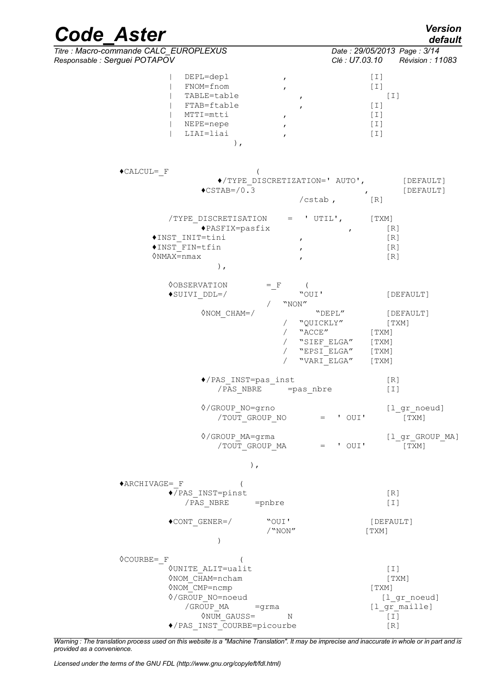| <b>Code Aster</b>                                                                                                                                                                                                                             | <b>Version</b><br>default                                                                                                                  |
|-----------------------------------------------------------------------------------------------------------------------------------------------------------------------------------------------------------------------------------------------|--------------------------------------------------------------------------------------------------------------------------------------------|
| Titre : Macro-commande CALC EUROPLEXUS                                                                                                                                                                                                        | Date: 29/05/2013 Page: 3/14                                                                                                                |
| Responsable : Serguei POTAPOV<br>DEPL=depl<br>$\pmb{r}$<br>FNOM=fnom<br>$\mathbf{r}$<br>TABLE=table<br>$\pmb{r}$<br>FTAB=ftable<br>$\boldsymbol{r}$<br>MTTI=mtti<br>$\pmb{r}$<br>NEPE=nepe<br>$\pmb{r}$<br>LIAI=liai<br>$\mathbf{r}$<br>$)$ , | Clé : U7.03.10 Révision : 11083<br>$[1]$<br>$[1]$<br>$[\;]$<br>$[1]$<br>$[1]$<br>$[1]$<br>$[1]$                                            |
| $\triangle$ CALCUL= F                                                                                                                                                                                                                         |                                                                                                                                            |
| $\blacklozenge$ /TYPE DISCRETIZATION=' AUTO',<br>$\text{CSTAB} = / 0.3$                                                                                                                                                                       | [DEFAULT]<br>[DEFAULT]<br>$\mathbf{r}$<br>$/cstab$ ,<br>[R]                                                                                |
| /TYPE DISCRETISATION<br>$\blacklozenge$ PASFIX=pasfix<br>◆INST INIT=tini<br>$\pmb{r}$<br>$\blacklozenge\texttt{INST}$ FIN=tfin<br>$\mathbf{r}$<br>$\Diamond$ NMAX=nmax<br>$\mathbf{r}$<br>$\,$ ,                                              | $=$ 'UTIL',<br>[ TXM ]<br>[R]<br>$\mathbf{r}$<br>[R]<br>[R]<br>[R]                                                                         |
| <b>OOBSERVATION</b><br>$=$ $F$<br>$\blacklozenge \texttt{SUIVI} \texttt{\_DDL=}/$<br>"NON"                                                                                                                                                    | "OUI'<br>[DEFAULT]                                                                                                                         |
| $\Diamond$ NOM CHAM=/<br>$\sqrt{2}$<br>$\sqrt{2}$                                                                                                                                                                                             | "DEPL"<br>[DEFAULT]<br>"QUICKLY"<br>[ TXM ]<br>/ "ACCE"<br>[TXM]<br>"SIEF ELGA"<br>[TXM]<br>$"EPSI_ELGA"$<br>[TXM]<br>"VARI ELGA"<br>[TXM] |
| ◆/PAS INST=pas inst                                                                                                                                                                                                                           | [R]<br>$[1]$                                                                                                                               |
| ◊/GROUP NO=grno<br>/TOUT_GROUP_NO                                                                                                                                                                                                             | [1 gr noeud]<br>$=$ ' OUI'<br>[ TXM ]                                                                                                      |
| ◊/GROUP MA=grma<br>/TOUT GROUP MA                                                                                                                                                                                                             | $[1$ <sub>_</sub> gr_GROUP_MA]<br>' OUI'<br>[TXM]<br>$=$                                                                                   |
| $)$ ,                                                                                                                                                                                                                                         |                                                                                                                                            |
| $*$ ARCHIVAGE= F<br>◆/PAS INST=pinst<br>/PAS NBRE<br>$=$ pnbre                                                                                                                                                                                | [R]<br>$[1]$                                                                                                                               |
| $\bullet$ CONT GENER=/<br>"OUI'<br>/<br>"NON"<br>$\mathcal{E}$                                                                                                                                                                                | [DEFAULT]<br>[TXM]                                                                                                                         |
| <b>OCOURBE= F</b><br><b>OUNITE_ALIT=ualit</b><br><b>◊NOM CHAM=ncham</b><br>ONOM CMP=ncmp<br>$\Diamond$ /GROUP_NO=noeud<br>/GROUP MA<br>=grma<br><b>ONUM GAUSS=</b><br>N<br>◆/PAS INST COURBE=picourbe                                         | $[1]$<br>[TXM]<br>[TXM]<br>$[1$ <sup>or_noeud]</sup><br>$[1_{gr\_maille}]$<br>$[1]$<br>[R]                                                 |

*Warning : The translation process used on this website is a "Machine Translation". It may be imprecise and inaccurate in whole or in part and is provided as a convenience.*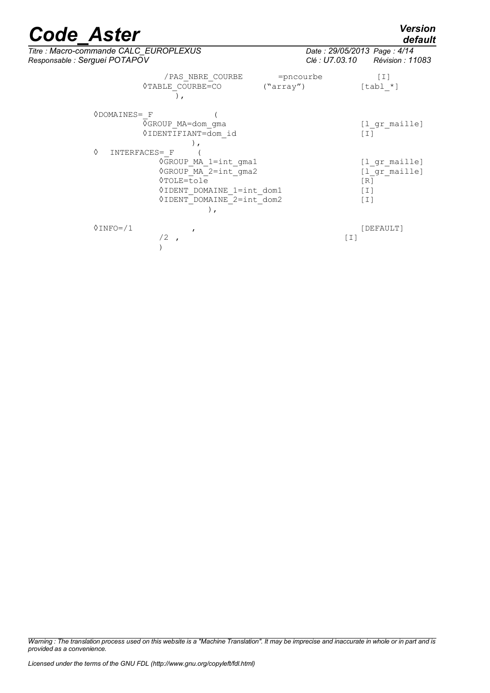*default*

| Titre : Macro-commande CALC EUROPLEXUS<br>Responsable : Serguei POTAPOV                                                                             | Date: 29/05/2013 Page: 4/14<br>Clé : U7.03.10 Révision : 11083      |
|-----------------------------------------------------------------------------------------------------------------------------------------------------|---------------------------------------------------------------------|
| /PAS NBRE COURBE<br>◊TABLE COURBE=CO<br>("array")<br>$\lambda$ ,                                                                                    | $=$ pncourbe<br>$\lceil 1 \rceil$<br>$[tab1 *]$                     |
| $\Diamond$ DOMAINES= F<br>◊GROUP MA=dom gma<br>◊ IDENTIFIANT=dom id<br>♦<br>INTERFACES= F                                                           | [1 gr maille]<br>$[1]$                                              |
| ◊GROUP MA 1=int gma1<br>◊GROUP MA 2=int gma2<br>0TOLE=tole<br>VIDENT DOMAINE 1=int dom1<br><b><i><u>OIDENT DOMAINE</u></i></b> 2=int dom2<br>$\,$ , | [1 gr maille]<br>[l gr maille]<br>$\lceil R \rceil$<br>$[1]$<br>[1] |
| $0$ INFO= $/1$<br>/2                                                                                                                                | [DEFAULT]<br>$[1]$                                                  |

*Warning : The translation process used on this website is a "Machine Translation". It may be imprecise and inaccurate in whole or in part and is provided as a convenience.*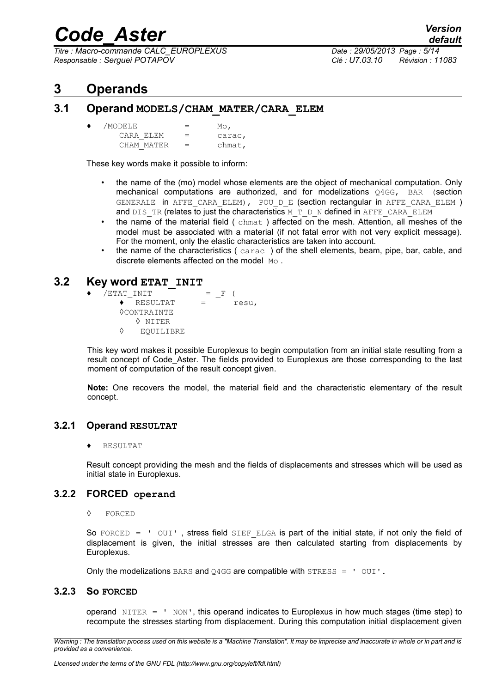*Titre : Macro-commande CALC\_EUROPLEXUS Date : 29/05/2013 Page : 5/14 Responsable : Serguei POTAPOV Clé : U7.03.10 Révision : 11083*

## **3 Operands**

#### **3.1 Operand MODELS/CHAM\_MATER/CARA\_ELEM**

| ٠ | /MODELE    | $=$ | $_{\text{Mo}}$ |
|---|------------|-----|----------------|
|   | CARA ELEM  | $=$ | carac,         |
|   | CHAM MATER | $=$ | chmat,         |

These key words make it possible to inform:

- the name of the (mo) model whose elements are the object of mechanical computation. Only mechanical computations are authorized, and for modelizations Q4GG, BAR (section GENERALE in AFFE CARA ELEM), POU D E (section rectangular in AFFE CARA ELEM ) and DIS\_TR (relates to just the characteristics M\_T\_D\_N defined in AFFE\_CARA\_ELEM
- the name of the material field  $($  chmat) affected on the mesh. Attention, all meshes of the model must be associated with a material (if not fatal error with not very explicit message). For the moment, only the elastic characteristics are taken into account.
- the name of the characteristics (carac) of the shell elements, beam, pipe, bar, cable, and discrete elements affected on the model Mo.

#### **3.2 Key word ETAT\_INIT**

 $\blacklozenge$  /ETAT INIT = F (  $\triangle$  RESULTAT = resu. ◊CONTRAINTE ◊ NITER ◊ EQUILIBRE

This key word makes it possible Europlexus to begin computation from an initial state resulting from a result concept of Code Aster. The fields provided to Europlexus are those corresponding to the last moment of computation of the result concept given.

**Note:** One recovers the model, the material field and the characteristic elementary of the result concept.

#### **3.2.1 Operand RESULTAT**

**RESULTAT** 

Result concept providing the mesh and the fields of displacements and stresses which will be used as initial state in Europlexus.

#### **3.2.2 FORCED operand**

◊ FORCED

So FORCED =  $'$  OUI', stress field SIEF ELGA is part of the initial state, if not only the field of displacement is given, the initial stresses are then calculated starting from displacements by Europlexus.

Only the modelizations BARS and Q4GG are compatible with STRESS =  $'$  OUI'.

#### **3.2.3 So FORCED**

operand  $NITER = ' NON', this operand indicates to Europlexus in how much stages (time step) to$ recompute the stresses starting from displacement. During this computation initial displacement given

*Warning : The translation process used on this website is a "Machine Translation". It may be imprecise and inaccurate in whole or in part and is provided as a convenience.*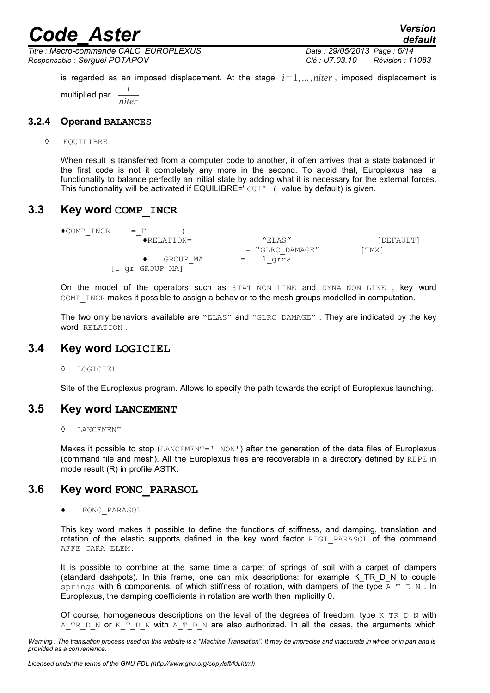*Titre : Macro-commande CALC\_EUROPLEXUS Date : 29/05/2013 Page : 6/14 Responsable : Serguei POTAPOV Clé : U7.03.10 Révision : 11083*

is regarded as an imposed displacement. At the stage  $i=1,\ldots,n$  *iter*, imposed displacement is multiplied par. *i niter*

#### **3.2.4 Operand BALANCES**

#### ◊ EQUILIBRE

When result is transferred from a computer code to another, it often arrives that a state balanced in the first code is not it completely any more in the second. To avoid that, Europlexus has a functionality to balance perfectly an initial state by adding what it is necessary for the external forces. This functionality will be activated if EQUILIBRE=' OUI' (value by default) is given.

#### **3.3 Key word COMP\_INCR**

 $\triangle$ COMP INCR = F ( ♦RELATION= "ELAS" [DEFAULT]  $=$  "GLRC DAMAGE" [TMX]  $\bullet$  GROUP MA = l grma [l\_gr\_GROUP\_MA]

On the model of the operators such as STAT NON LINE and DYNA NON LINE , key word COMP\_INCR makes it possible to assign a behavior to the mesh groups modelled in computation.

The two only behaviors available are "ELAS" and "GLRC DAMAGE" . They are indicated by the key word RELATION .

#### **3.4 Key word LOGICIEL**

◊ LOGICIEL

Site of the Europlexus program. Allows to specify the path towards the script of Europlexus launching.

#### **3.5 Key word LANCEMENT**

#### ◊ LANCEMENT

Makes it possible to stop (LANCEMENT=' NON') after the generation of the data files of Europlexus (command file and mesh). All the Europlexus files are recoverable in a directory defined by REPE in mode result (R) in profile ASTK.

#### **3.6 Key word FONC\_PARASOL**

FONC PARASOL

This key word makes it possible to define the functions of stiffness, and damping, translation and rotation of the elastic supports defined in the key word factor RIGI PARASOL of the command AFFE\_CARA\_ELEM.

It is possible to combine at the same time a carpet of springs of soil with a carpet of dampers (standard dashpots). In this frame, one can mix descriptions: for example K\_TR\_D\_N to couple springs with 6 components, of which stiffness of rotation, with dampers of the type A  $T$  D N. In Europlexus, the damping coefficients in rotation are worth then implicitly 0.

Of course, homogeneous descriptions on the level of the degrees of freedom, type K\_TR\_D\_N with A TR D N or K T D N with A T D N are also authorized. In all the cases, the arguments which

*Warning : The translation process used on this website is a "Machine Translation". It may be imprecise and inaccurate in whole or in part and is provided as a convenience.*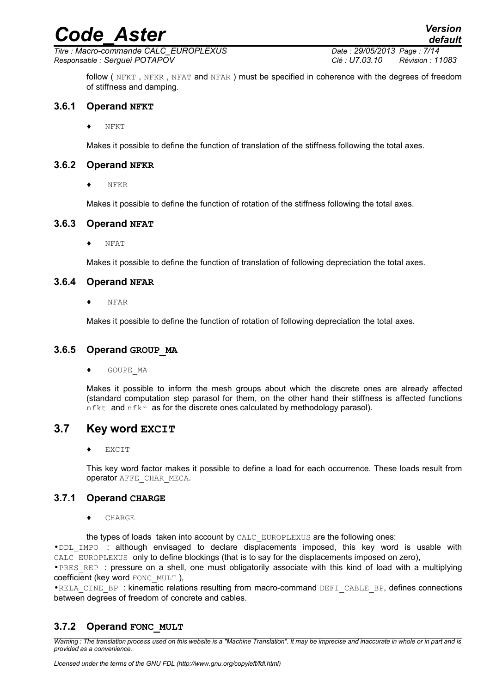*Titre : Macro-commande CALC\_EUROPLEXUS Date : 29/05/2013 Page : 7/14 Responsable : Serguei POTAPOV Clé : U7.03.10 Révision : 11083*

*default*

follow ( NFKT, NFKR, NFAT and NFAR) must be specified in coherence with the degrees of freedom of stiffness and damping.

#### **3.6.1 Operand NFKT**

♦ NFKT

Makes it possible to define the function of translation of the stiffness following the total axes.

#### **3.6.2 Operand NFKR**

♦ NFKR

Makes it possible to define the function of rotation of the stiffness following the total axes.

#### **3.6.3 Operand NFAT**

NFAT

Makes it possible to define the function of translation of following depreciation the total axes.

#### **3.6.4 Operand NFAR**

♦ NFAR

Makes it possible to define the function of rotation of following depreciation the total axes.

#### **3.6.5 Operand GROUP\_MA**

GOUPE MA

Makes it possible to inform the mesh groups about which the discrete ones are already affected (standard computation step parasol for them, on the other hand their stiffness is affected functions nfkt and nfkr as for the discrete ones calculated by methodology parasol).

#### **3.7 Key word EXCIT**

**EXCIT** 

This key word factor makes it possible to define a load for each occurrence. These loads result from operator AFFE\_CHAR\_MECA.

#### **3.7.1 Operand CHARGE**

CHARGE

the types of loads taken into account by CALC\_EUROPLEXUS are the following ones:

•DDL\_IMPO : although envisaged to declare displacements imposed, this key word is usable with CALC EUROPLEXUS only to define blockings (that is to say for the displacements imposed on zero),

• PRES REP : pressure on a shell, one must obligatorily associate with this kind of load with a multiplying coefficient (key word FONC\_MULT ),

•RELA\_CINE\_BP : kinematic relations resulting from macro-command DEFI\_CABLE\_BP, defines connections between degrees of freedom of concrete and cables.

#### **3.7.2 Operand FONC\_MULT**

*Warning : The translation process used on this website is a "Machine Translation". It may be imprecise and inaccurate in whole or in part and is provided as a convenience.*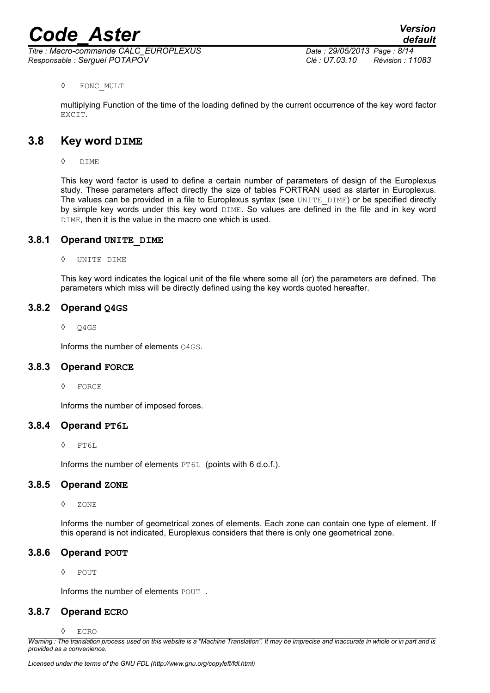*Titre : Macro-commande CALC\_EUROPLEXUS Date : 29/05/2013 Page : 8/14 Responsable : Serguei POTAPOV Clé : U7.03.10 Révision : 11083*

#### ◊ FONC\_MULT

multiplying Function of the time of the loading defined by the current occurrence of the key word factor EXCIT.

#### **3.8 Key word DIME**

◊ DIME

This key word factor is used to define a certain number of parameters of design of the Europlexus study. These parameters affect directly the size of tables FORTRAN used as starter in Europlexus. The values can be provided in a file to Europlexus syntax (see UNITE DIME) or be specified directly by simple key words under this key word DIME. So values are defined in the file and in key word DIME, then it is the value in the macro one which is used.

#### **3.8.1 Operand UNITE\_DIME**

◊ UNITE\_DIME

This key word indicates the logical unit of the file where some all (or) the parameters are defined. The parameters which miss will be directly defined using the key words quoted hereafter.

#### **3.8.2 Operand Q4GS**

◊ Q4GS

Informs the number of elements 04GS.

#### **3.8.3 Operand FORCE**

◊ FORCE

Informs the number of imposed forces.

#### **3.8.4 Operand PT6L**

◊ PT6L

Informs the number of elements PT6L (points with 6 d.o.f.).

#### **3.8.5 Operand ZONE**

◊ ZONE

Informs the number of geometrical zones of elements. Each zone can contain one type of element. If this operand is not indicated, Europlexus considers that there is only one geometrical zone.

#### **3.8.6 Operand POUT**

◊ POUT

Informs the number of elements POUT.

#### **3.8.7 Operand ECRO**

◊ ECRO

*Warning : The translation process used on this website is a "Machine Translation". It may be imprecise and inaccurate in whole or in part and is provided as a convenience.*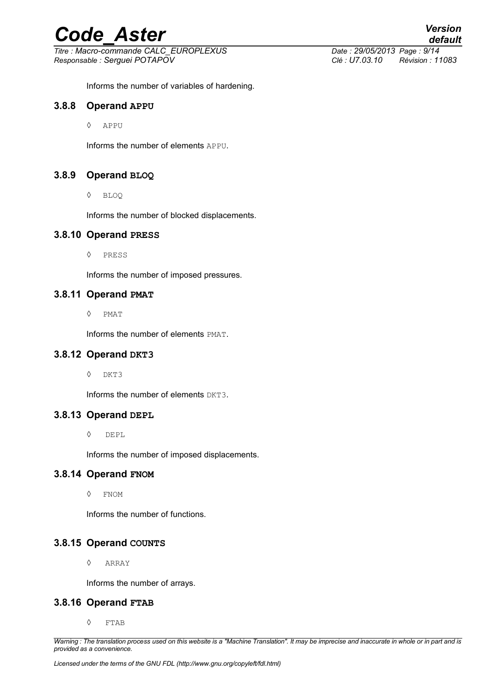*Titre : Macro-commande CALC\_EUROPLEXUS Date : 29/05/2013 Page : 9/14 Responsable : Serguei POTAPOV Clé : U7.03.10 Révision : 11083*

*default*

Informs the number of variables of hardening.

#### **3.8.8 Operand APPU**

◊ APPU

Informs the number of elements APPU.

#### **3.8.9 Operand BLOQ**

◊ BLOQ

Informs the number of blocked displacements.

#### **3.8.10 Operand PRESS**

◊ PRESS

Informs the number of imposed pressures.

#### **3.8.11 Operand PMAT**

◊ PMAT

Informs the number of elements PMAT.

#### **3.8.12 Operand DKT3**

◊ DKT3

Informs the number of elements DKT3.

#### **3.8.13 Operand DEPL**

◊ DEPL

Informs the number of imposed displacements.

#### **3.8.14 Operand FNOM**

◊ FNOM

Informs the number of functions.

#### **3.8.15 Operand COUNTS**

◊ ARRAY

Informs the number of arrays.

#### **3.8.16 Operand FTAB**

◊ FTAB

*Warning : The translation process used on this website is a "Machine Translation". It may be imprecise and inaccurate in whole or in part and is provided as a convenience.*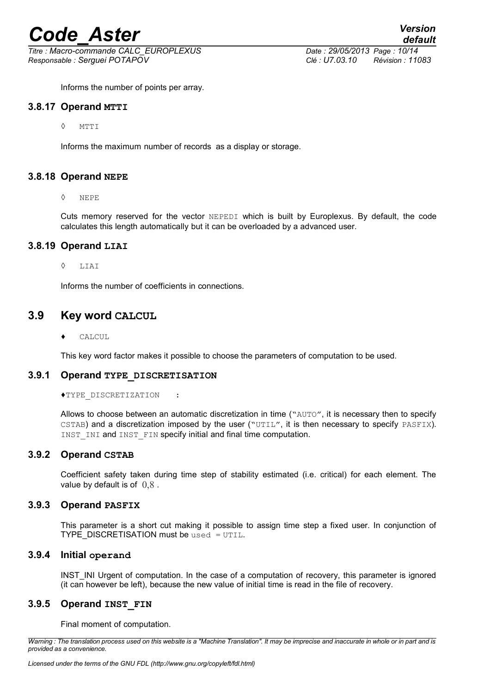*Titre : Macro-commande CALC\_EUROPLEXUS Date : 29/05/2013 Page : 10/14 Responsable : Serguei POTAPOV Clé : U7.03.10 Révision : 11083*

Informs the number of points per array.

#### **3.8.17 Operand MTTI**

◊ MTTI

Informs the maximum number of records as a display or storage.

#### **3.8.18 Operand NEPE**

#### ◊ NEPE

Cuts memory reserved for the vector NEPEDI which is built by Europlexus. By default, the code calculates this length automatically but it can be overloaded by a advanced user.

#### **3.8.19 Operand LIAI**

#### ◊ LIAI

Informs the number of coefficients in connections.

#### **3.9 Key word CALCUL**

♦ CALCUL

This key word factor makes it possible to choose the parameters of computation to be used.

#### **3.9.1 Operand TYPE\_DISCRETISATION**

#### ♦TYPE\_DISCRETIZATION :

Allows to choose between an automatic discretization in time ("AUTO", it is necessary then to specify CSTAB) and a discretization imposed by the user ("UTIL", it is then necessary to specify PASFIX). INST\_INI and INST\_FIN specify initial and final time computation.

#### **3.9.2 Operand CSTAB**

Coefficient safety taken during time step of stability estimated (i.e. critical) for each element. The value by default is of  $0.8$ .

#### **3.9.3 Operand PASFIX**

This parameter is a short cut making it possible to assign time step a fixed user. In conjunction of TYPE\_DISCRETISATION must be used = UTIL.

#### **3.9.4 Initial operand**

INST INI Urgent of computation. In the case of a computation of recovery, this parameter is ignored (it can however be left), because the new value of initial time is read in the file of recovery.

#### **3.9.5 Operand INST\_FIN**

Final moment of computation.

*Warning : The translation process used on this website is a "Machine Translation". It may be imprecise and inaccurate in whole or in part and is provided as a convenience.*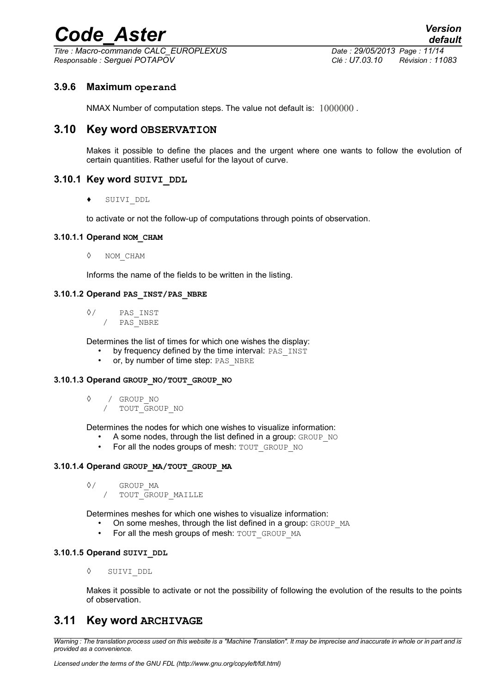*Titre : Macro-commande CALC\_EUROPLEXUS Date : 29/05/2013 Page : 11/14 Responsable : Serguei POTAPOV Clé : U7.03.10 Révision : 11083*

#### **3.9.6 Maximum operand**

NMAX Number of computation steps. The value not default is:  $1000000$ .

#### **3.10 Key word OBSERVATION**

Makes it possible to define the places and the urgent where one wants to follow the evolution of certain quantities. Rather useful for the layout of curve.

#### **3.10.1 Key word SUIVI\_DDL**

♦ SUIVI\_DDL

to activate or not the follow-up of computations through points of observation.

#### **3.10.1.1 Operand NOM\_CHAM**

◊ NOM\_CHAM

Informs the name of the fields to be written in the listing.

#### **3.10.1.2 Operand PAS\_INST/PAS\_NBRE**

◊/ PAS\_INST / PAS\_NBRE

Determines the list of times for which one wishes the display:

- by frequency defined by the time interval: PAS\_INST
- or, by number of time step: PAS\_NBRE

#### **3.10.1.3 Operand GROUP\_NO/TOUT\_GROUP\_NO**

- ◊ / GROUP\_NO
	- / TOUT\_GROUP\_NO

Determines the nodes for which one wishes to visualize information:

- A some nodes, through the list defined in a group:  $GROUP_NO$ <br>• For all the nodes groups of mesh:  $TOUT-GROUP_NO$
- For all the nodes groups of mesh: TOUT\_GROUP\_NO

#### **3.10.1.4 Operand GROUP\_MA/TOUT\_GROUP\_MA**

```
◊/ GROUP_MA
```
/ TOUT\_GROUP\_MAILLE

Determines meshes for which one wishes to visualize information:

- On some meshes, through the list defined in a group: GROUP MA
- For all the mesh groups of mesh: TOUT\_GROUP\_MA

#### **3.10.1.5 Operand SUIVI\_DDL**

◊ SUIVI\_DDL

Makes it possible to activate or not the possibility of following the evolution of the results to the points of observation.

#### **3.11 Key word ARCHIVAGE**

*Warning : The translation process used on this website is a "Machine Translation". It may be imprecise and inaccurate in whole or in part and is provided as a convenience.*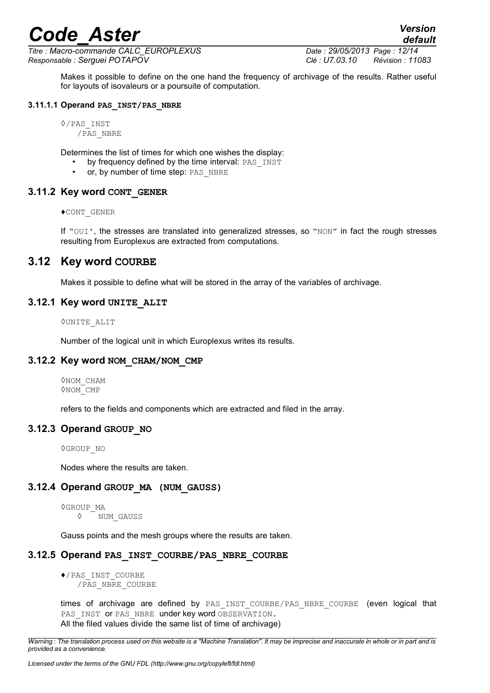*Titre : Macro-commande CALC\_EUROPLEXUS Date : 29/05/2013 Page : 12/14 Responsable : Serguei POTAPOV Clé : U7.03.10 Révision : 11083*

*default*

Makes it possible to define on the one hand the frequency of archivage of the results. Rather useful for layouts of isovaleurs or a poursuite of computation.

#### **3.11.1.1 Operand PAS\_INST/PAS\_NBRE**

```
◊/PAS_INST
   /PAS_NBRE
```
Determines the list of times for which one wishes the display:

- by frequency defined by the time interval: PAS\_INST
	- or, by number of time step: PAS\_NBRE

#### **3.11.2 Key word CONT\_GENER**

♦CONT\_GENER

If "OUI', the stresses are translated into generalized stresses, so "NON" in fact the rough stresses resulting from Europlexus are extracted from computations.

#### **3.12 Key word COURBE**

Makes it possible to define what will be stored in the array of the variables of archivage.

#### **3.12.1 Key word UNITE\_ALIT**

◊UNITE\_ALIT

Number of the logical unit in which Europlexus writes its results.

#### **3.12.2 Key word NOM\_CHAM/NOM\_CMP**

◊NOM\_CHAM ◊NOM\_CMP

refers to the fields and components which are extracted and filed in the array.

#### **3.12.3 Operand GROUP\_NO**

◊GROUP\_NO

Nodes where the results are taken.

#### **3.12.4 Operand GROUP\_MA (NUM\_GAUSS)**

◊GROUP\_MA ◊ NUM\_GAUSS

Gauss points and the mesh groups where the results are taken.

#### **3.12.5 Operand PAS\_INST\_COURBE/PAS\_NBRE\_COURBE**

♦/PAS\_INST\_COURBE /PAS\_NBRE\_COURBE

times of archivage are defined by PAS INST COURBE/PAS NBRE COURBE (even logical that PAS INST OF PAS NBRE under key word OBSERVATION. All the filed values divide the same list of time of archivage)

*Warning : The translation process used on this website is a "Machine Translation". It may be imprecise and inaccurate in whole or in part and is provided as a convenience.*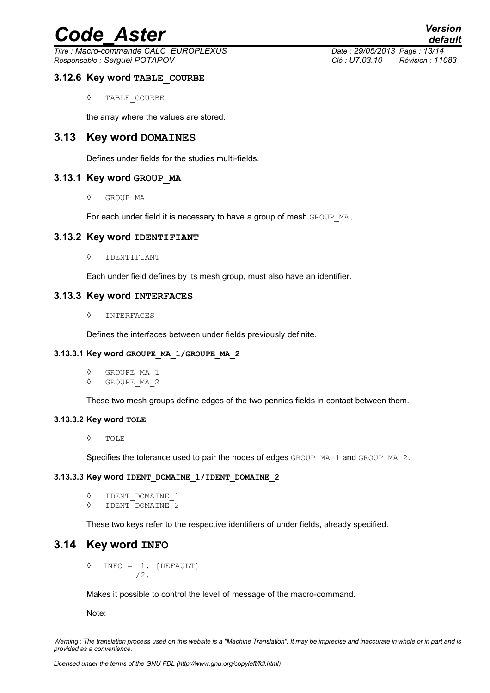*Titre : Macro-commande CALC\_EUROPLEXUS Date : 29/05/2013 Page : 13/14 Responsable : Serguei POTAPOV Clé : U7.03.10 Révision : 11083*

#### **3.12.6 Key word TABLE\_COURBE**

◊ TABLE\_COURBE

the array where the values are stored.

#### **3.13 Key word DOMAINES**

Defines under fields for the studies multi-fields.

#### **3.13.1 Key word GROUP\_MA**

◊ GROUP\_MA

For each under field it is necessary to have a group of mesh GROUP MA.

#### **3.13.2 Key word IDENTIFIANT**

◊ IDENTIFIANT

Each under field defines by its mesh group, must also have an identifier.

#### **3.13.3 Key word INTERFACES**

◊ INTERFACES

Defines the interfaces between under fields previously definite.

#### **3.13.3.1 Key word GROUPE\_MA\_1/GROUPE\_MA\_2**

- ◊ GROUPE\_MA\_1
- GROUPE<sup>MA</sup>2

These two mesh groups define edges of the two pennies fields in contact between them.

#### **3.13.3.2 Key word TOLE**

◊ TOLE

Specifies the tolerance used to pair the nodes of edges GROUP\_MA\_1 and GROUP\_MA\_2.

#### **3.13.3.3 Key word IDENT\_DOMAINE\_1/IDENT\_DOMAINE\_2**

```
◊ IDENT_DOMAINE_1
◊ IDENT_DOMAINE_2
```
These two keys refer to the respective identifiers of under fields, already specified.

#### **3.14 Key word INFO**

 $\Diamond$  INFO = 1, [DEFAULT] /2,

Makes it possible to control the level of message of the macro-command.

Note:

*Warning : The translation process used on this website is a "Machine Translation". It may be imprecise and inaccurate in whole or in part and is provided as a convenience.*